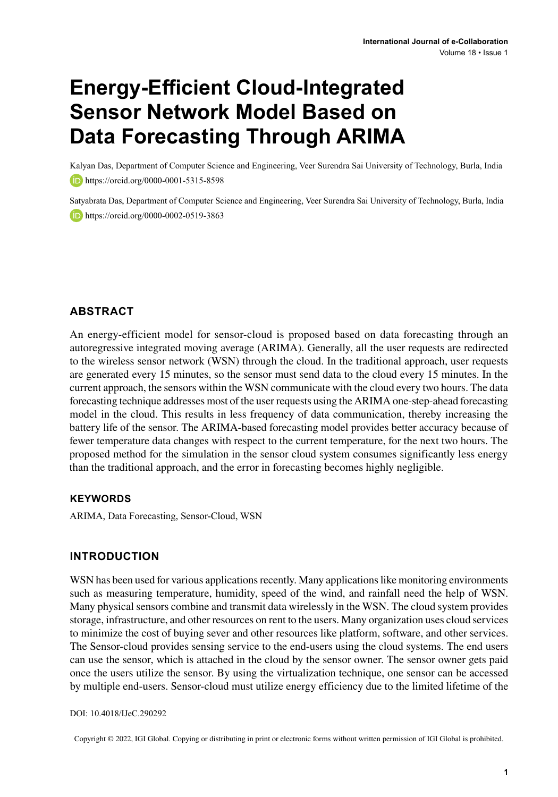# **Energy-Efficient Cloud-Integrated Sensor Network Model Based on Data Forecasting Through ARIMA**

Kalyan Das, Department of Computer Science and Engineering, Veer Surendra Sai University of Technology, Burla, India **https://orcid.org/0000-0001-5315-8598** 

Satyabrata Das, Department of Computer Science and Engineering, Veer Surendra Sai University of Technology, Burla, India **https://orcid.org/0000-0002-0519-3863** 

## **ABSTRACT**

An energy-efficient model for sensor-cloud is proposed based on data forecasting through an autoregressive integrated moving average (ARIMA). Generally, all the user requests are redirected to the wireless sensor network (WSN) through the cloud. In the traditional approach, user requests are generated every 15 minutes, so the sensor must send data to the cloud every 15 minutes. In the current approach, the sensors within the WSN communicate with the cloud every two hours. The data forecasting technique addresses most of the user requests using the ARIMA one-step-ahead forecasting model in the cloud. This results in less frequency of data communication, thereby increasing the battery life of the sensor. The ARIMA-based forecasting model provides better accuracy because of fewer temperature data changes with respect to the current temperature, for the next two hours. The proposed method for the simulation in the sensor cloud system consumes significantly less energy than the traditional approach, and the error in forecasting becomes highly negligible.

## **Keywords**

ARIMA, Data Forecasting, Sensor-Cloud, WSN

## **INTRODUCTION**

WSN has been used for various applications recently. Many applications like monitoring environments such as measuring temperature, humidity, speed of the wind, and rainfall need the help of WSN. Many physical sensors combine and transmit data wirelessly in the WSN. The cloud system provides storage, infrastructure, and other resources on rent to the users. Many organization uses cloud services to minimize the cost of buying sever and other resources like platform, software, and other services. The Sensor-cloud provides sensing service to the end-users using the cloud systems. The end users can use the sensor, which is attached in the cloud by the sensor owner. The sensor owner gets paid once the users utilize the sensor. By using the virtualization technique, one sensor can be accessed by multiple end-users. Sensor-cloud must utilize energy efficiency due to the limited lifetime of the

#### DOI: 10.4018/IJeC.290292

Copyright © 2022, IGI Global. Copying or distributing in print or electronic forms without written permission of IGI Global is prohibited.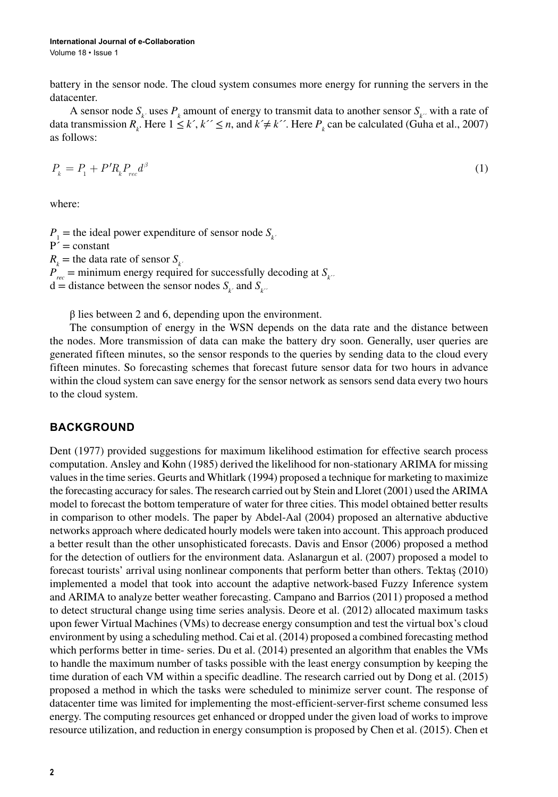battery in the sensor node. The cloud system consumes more energy for running the servers in the datacenter.

A sensor node  $S_k$  uses  $P_k$  amount of energy to transmit data to another sensor  $S_k$  with a rate of data transmission  $R_k$ . Here  $1 \le k', k'' \le n$ , and  $k' \ne k''$ . Here  $P_k$  can be calculated (Guha et al., 2007) as follows:

$$
P_k = P_1 + P'R_k P_{rec} d^{\beta} \tag{1}
$$

where:

 $P_1$  = the ideal power expenditure of sensor node  $S_k$  $P' = constant$  $R_k$  = the data rate of sensor  $S_k$ *<sup>* $\cdot$ *</sup>*  $P_{rec}$  = minimum energy required for successfully decoding at  $S_{k}$ <sup>2</sup>  $d =$  distance between the sensor nodes  $S_k$  and  $S_k$ 

 $β$  lies between 2 and 6, depending upon the environment.

The consumption of energy in the WSN depends on the data rate and the distance between the nodes. More transmission of data can make the battery dry soon. Generally, user queries are generated fifteen minutes, so the sensor responds to the queries by sending data to the cloud every fifteen minutes. So forecasting schemes that forecast future sensor data for two hours in advance within the cloud system can save energy for the sensor network as sensors send data every two hours to the cloud system.

## **BACKGROUND**

Dent (1977) provided suggestions for maximum likelihood estimation for effective search process computation. Ansley and Kohn (1985) derived the likelihood for non-stationary ARIMA for missing valuesin the time series. Geurts and Whitlark (1994) proposed a technique for marketing to maximize the forecasting accuracy forsales. The research carried out by Stein and Lloret (2001) used the ARIMA model to forecast the bottom temperature of water for three cities. This model obtained better results in comparison to other models. The paper by Abdel-Aal (2004) proposed an alternative abductive networks approach where dedicated hourly models were taken into account. This approach produced a better result than the other unsophisticated forecasts. Davis and Ensor (2006) proposed a method for the detection of outliers for the environment data. Aslanargun et al. (2007) proposed a model to forecast tourists' arrival using nonlinear components that perform better than others. Tektaş (2010) implemented a model that took into account the adaptive network-based Fuzzy Inference system and ARIMA to analyze better weather forecasting. Campano and Barrios (2011) proposed a method to detect structural change using time series analysis. Deore et al. (2012) allocated maximum tasks upon fewer Virtual Machines (VMs) to decrease energy consumption and test the virtual box's cloud environment by using a scheduling method. Cai et al. (2014) proposed a combined forecasting method which performs better in time- series. Du et al. (2014) presented an algorithm that enables the VMs to handle the maximum number of tasks possible with the least energy consumption by keeping the time duration of each VM within a specific deadline. The research carried out by Dong et al. (2015) proposed a method in which the tasks were scheduled to minimize server count. The response of datacenter time was limited for implementing the most-efficient-server-first scheme consumed less energy. The computing resources get enhanced or dropped under the given load of works to improve resource utilization, and reduction in energy consumption is proposed by Chen et al. (2015). Chen et